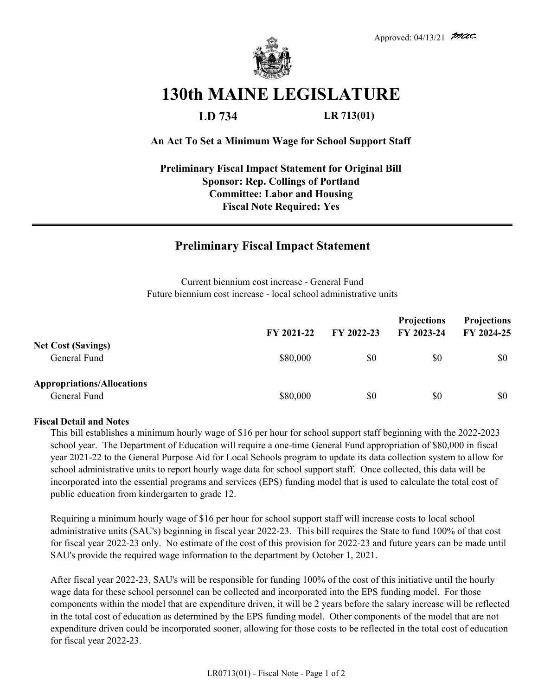

# **130th MAINE LEGISLATURE**

**LD 734 LR 713(01)**

#### **An Act To Set a Minimum Wage for School Support Staff**

### **Fiscal Note Required: Yes Preliminary Fiscal Impact Statement for Original Bill Sponsor: Rep. Collings of Portland Committee: Labor and Housing**

## **Preliminary Fiscal Impact Statement**

Current biennium cost increase - General Fund Future biennium cost increase - local school administrative units

|                                                   | FY 2021-22 | FY 2022-23 | <b>Projections</b><br>FY 2023-24 | <b>Projections</b><br>FY 2024-25 |
|---------------------------------------------------|------------|------------|----------------------------------|----------------------------------|
| <b>Net Cost (Savings)</b><br>General Fund         | \$80,000   | \$0        | \$0                              | \$0                              |
| <b>Appropriations/Allocations</b><br>General Fund | \$80,000   | \$0        | \$0                              | \$0                              |

#### **Fiscal Detail and Notes**

This bill establishes a minimum hourly wage of \$16 per hour for school support staff beginning with the 2022-2023 school year. The Department of Education will require a one-time General Fund appropriation of \$80,000 in fiscal year 2021-22 to the General Purpose Aid for Local Schools program to update its data collection system to allow for school administrative units to report hourly wage data for school support staff. Once collected, this data will be incorporated into the essential programs and services (EPS) funding model that is used to calculate the total cost of public education from kindergarten to grade 12.

Requiring a minimum hourly wage of \$16 per hour for school support staff will increase costs to local school administrative units (SAU's) beginning in fiscal year 2022-23. This bill requires the State to fund 100% of that cost for fiscal year 2022-23 only. No estimate of the cost of this provision for 2022-23 and future years can be made until SAU's provide the required wage information to the department by October 1, 2021.

After fiscal year 2022-23, SAU's will be responsible for funding 100% of the cost of this initiative until the hourly wage data for these school personnel can be collected and incorporated into the EPS funding model. For those components within the model that are expenditure driven, it will be 2 years before the salary increase will be reflected in the total cost of education as determined by the EPS funding model. Other components of the model that are not expenditure driven could be incorporated sooner, allowing for those costs to be reflected in the total cost of education for fiscal year 2022-23.